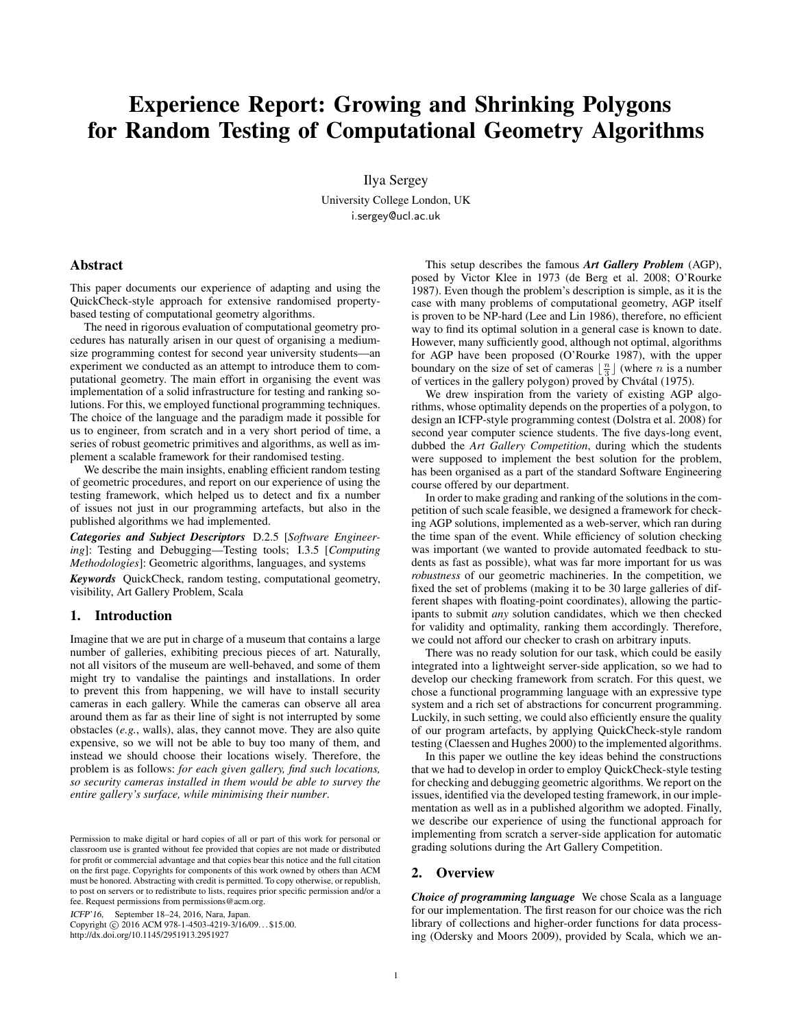# Experience Report: Growing and Shrinking Polygons for Random Testing of Computational Geometry Algorithms

Ilya Sergey University College London, UK i.sergey@ucl.ac.uk

# Abstract

This paper documents our experience of adapting and using the QuickCheck-style approach for extensive randomised propertybased testing of computational geometry algorithms.

The need in rigorous evaluation of computational geometry procedures has naturally arisen in our quest of organising a mediumsize programming contest for second year university students—an experiment we conducted as an attempt to introduce them to computational geometry. The main effort in organising the event was implementation of a solid infrastructure for testing and ranking solutions. For this, we employed functional programming techniques. The choice of the language and the paradigm made it possible for us to engineer, from scratch and in a very short period of time, a series of robust geometric primitives and algorithms, as well as implement a scalable framework for their randomised testing.

We describe the main insights, enabling efficient random testing of geometric procedures, and report on our experience of using the testing framework, which helped us to detect and fix a number of issues not just in our programming artefacts, but also in the published algorithms we had implemented.

*Categories and Subject Descriptors* D.2.5 [*Software Engineering*]: Testing and Debugging—Testing tools; I.3.5 [*Computing Methodologies*]: Geometric algorithms, languages, and systems

*Keywords* QuickCheck, random testing, computational geometry, visibility, Art Gallery Problem, Scala

#### 1. Introduction

Imagine that we are put in charge of a museum that contains a large number of galleries, exhibiting precious pieces of art. Naturally, not all visitors of the museum are well-behaved, and some of them might try to vandalise the paintings and installations. In order to prevent this from happening, we will have to install security cameras in each gallery. While the cameras can observe all area around them as far as their line of sight is not interrupted by some obstacles (*e.g.*, walls), alas, they cannot move. They are also quite expensive, so we will not be able to buy too many of them, and instead we should choose their locations wisely. Therefore, the problem is as follows: *for each given gallery, find such locations, so security cameras installed in them would be able to survey the entire gallery's surface, while minimising their number*.

ICFP'16, September 18–24, 2016, Nara, Japan.

Copyright © 2016 ACM 978-1-4503-4219-3/16/09... \$15.00. http://dx.doi.org/10.1145/2951913.2951927

This setup describes the famous *Art Gallery Problem* (AGP), posed by Victor Klee in 1973 [\(de Berg et al.](#page-6-0) [2008;](#page-6-0) [O'Rourke](#page-6-1) [1987\)](#page-6-1). Even though the problem's description is simple, as it is the case with many problems of computational geometry, AGP itself is proven to be NP-hard [\(Lee and Lin](#page-6-2) [1986\)](#page-6-2), therefore, no efficient way to find its optimal solution in a general case is known to date. However, many sufficiently good, although not optimal, algorithms for AGP have been proposed [\(O'Rourke](#page-6-1) [1987\)](#page-6-1), with the upper boundary on the size of set of cameras  $\lfloor \frac{n}{3} \rfloor$  (where *n* is a number of vertices in the gallery polygon) proved by Chvátal [\(1975\)](#page-6-3).

We drew inspiration from the variety of existing AGP algorithms, whose optimality depends on the properties of a polygon, to design an ICFP-style programming contest [\(Dolstra et al.](#page-6-4) [2008\)](#page-6-4) for second year computer science students. The five days-long event, dubbed the *Art Gallery Competition*, during which the students were supposed to implement the best solution for the problem, has been organised as a part of the standard Software Engineering course offered by our department.

In order to make grading and ranking of the solutions in the competition of such scale feasible, we designed a framework for checking AGP solutions, implemented as a web-server, which ran during the time span of the event. While efficiency of solution checking was important (we wanted to provide automated feedback to students as fast as possible), what was far more important for us was *robustness* of our geometric machineries. In the competition, we fixed the set of problems (making it to be 30 large galleries of different shapes with floating-point coordinates), allowing the participants to submit *any* solution candidates, which we then checked for validity and optimality, ranking them accordingly. Therefore, we could not afford our checker to crash on arbitrary inputs.

There was no ready solution for our task, which could be easily integrated into a lightweight server-side application, so we had to develop our checking framework from scratch. For this quest, we chose a functional programming language with an expressive type system and a rich set of abstractions for concurrent programming. Luckily, in such setting, we could also efficiently ensure the quality of our program artefacts, by applying QuickCheck-style random testing [\(Claessen and Hughes](#page-6-5) [2000\)](#page-6-5) to the implemented algorithms.

In this paper we outline the key ideas behind the constructions that we had to develop in order to employ QuickCheck-style testing for checking and debugging geometric algorithms. We report on the issues, identified via the developed testing framework, in our implementation as well as in a published algorithm we adopted. Finally, we describe our experience of using the functional approach for implementing from scratch a server-side application for automatic grading solutions during the Art Gallery Competition.

## <span id="page-0-0"></span>2. Overview

*Choice of programming language* We chose Scala as a language for our implementation. The first reason for our choice was the rich library of collections and higher-order functions for data processing [\(Odersky and Moors](#page-6-6) [2009\)](#page-6-6), provided by Scala, which we an-

Permission to make digital or hard copies of all or part of this work for personal or classroom use is granted without fee provided that copies are not made or distributed for profit or commercial advantage and that copies bear this notice and the full citation on the first page. Copyrights for components of this work owned by others than ACM must be honored. Abstracting with credit is permitted. To copy otherwise, or republish, to post on servers or to redistribute to lists, requires prior specific permission and/or a fee. Request permissions from permissions@acm.org.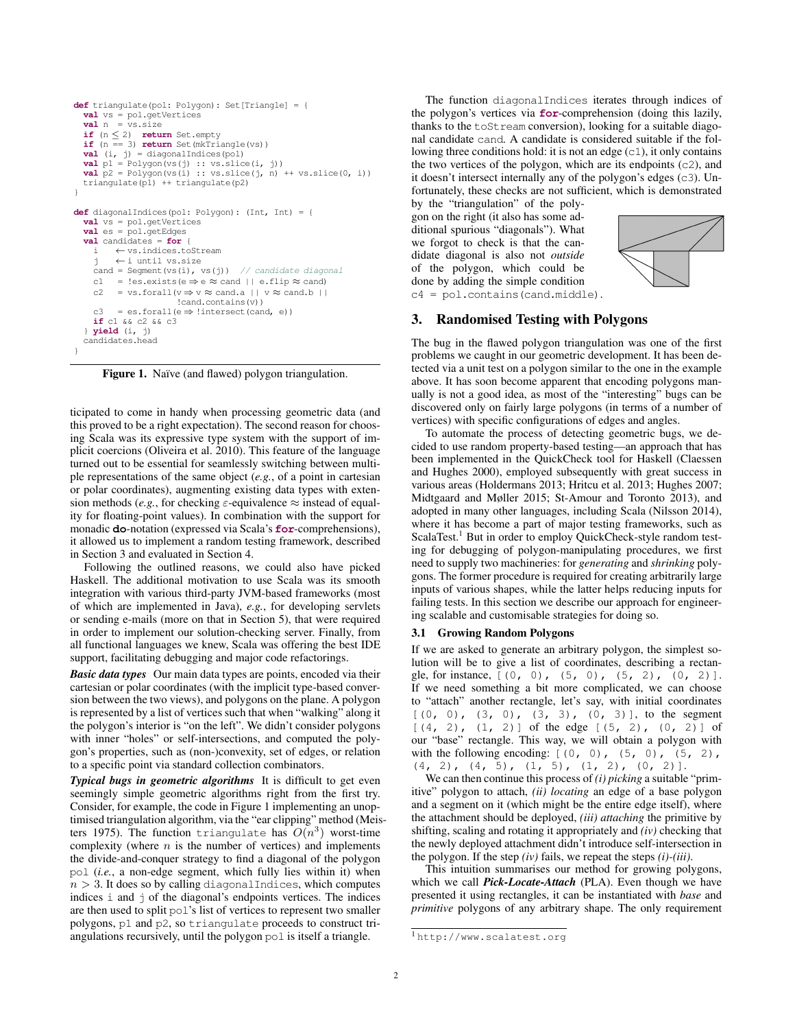```
def triangulate(pol: Polygon): Set[Triangle] = {
 val vs = pol.getVertices
  val_n = vs.sizeif (n \leq 2) return Set.empty
  if (n == 3) return Set(mkTriangle(vs))
  val (i, j) = diagonalIndices(pol)
  val p1 = Polygon(vs(j) :: vs.slice(i, j))
  val p2 = Polygon(vs(i) :: vs.slice(j, n) ++ vs.slice(0, i))triangulate(p1) ++ triangulate(p2)
}
def diagonalIndices(pol: Polygon): (Int, Int) = {
 val vs = pol.getVertices
  val es = pol.getEdges
  val candidates = for {
         i ← vs.indices.toStream
         ← i until vs.size
    cand = Segment(vs(i), vs(j)) // candidate diagonal
    c1 = !es.exists(e \Rightarrow e \approx cand || e.flip \approx cand)
    c2 = vs.forall(v \Rightarrow v \approx cand.a || v \approx cand.b ||
                      !cand.contains(v))
    c3 = es.forall(e \Rightarrow !intersect(cand, e))
    if c1 && c2 && c3
  } yield (i, j)
 candidates.head
}
```
<span id="page-1-1"></span>Figure 1. Naïve (and flawed) polygon triangulation.

ticipated to come in handy when processing geometric data (and this proved to be a right expectation). The second reason for choosing Scala was its expressive type system with the support of implicit coercions [\(Oliveira et al.](#page-6-7) [2010\)](#page-6-7). This feature of the language turned out to be essential for seamlessly switching between multiple representations of the same object (*e.g.*, of a point in cartesian or polar coordinates), augmenting existing data types with extension methods (*e.g.*, for checking  $\varepsilon$ -equivalence  $\approx$  instead of equality for floating-point values). In combination with the support for monadic **do**-notation (expressed via Scala's **for**-comprehensions), it allowed us to implement a random testing framework, described in Section [3](#page-1-0) and evaluated in Section [4.](#page-3-0)

Following the outlined reasons, we could also have picked Haskell. The additional motivation to use Scala was its smooth integration with various third-party JVM-based frameworks (most of which are implemented in Java), *e.g.*, for developing servlets or sending e-mails (more on that in Section [5\)](#page-4-0), that were required in order to implement our solution-checking server. Finally, from all functional languages we knew, Scala was offering the best IDE support, facilitating debugging and major code refactorings.

*Basic data types* Our main data types are points, encoded via their cartesian or polar coordinates (with the implicit type-based conversion between the two views), and polygons on the plane. A polygon is represented by a list of vertices such that when "walking" along it the polygon's interior is "on the left". We didn't consider polygons with inner "holes" or self-intersections, and computed the polygon's properties, such as (non-)convexity, set of edges, or relation to a specific point via standard collection combinators.

*Typical bugs in geometric algorithms* It is difficult to get even seemingly simple geometric algorithms right from the first try. Consider, for example, the code in Figure [1](#page-1-1) implementing an unoptimised triangulation algorithm, via the "ear clipping" method [\(Meis](#page-6-8)[ters](#page-6-8) [1975\)](#page-6-8). The function triangulate has  $O(n^3)$  worst-time complexity (where  $n$  is the number of vertices) and implements the divide-and-conquer strategy to find a diagonal of the polygon pol (*i.e.*, a non-edge segment, which fully lies within it) when  $n > 3$ . It does so by calling diagonal Indices, which computes indices i and j of the diagonal's endpoints vertices. The indices are then used to split pol's list of vertices to represent two smaller polygons, p1 and p2, so triangulate proceeds to construct triangulations recursively, until the polygon pol is itself a triangle.

The function diagonalIndices iterates through indices of the polygon's vertices via **for**-comprehension (doing this lazily, thanks to the toStream conversion), looking for a suitable diagonal candidate cand. A candidate is considered suitable if the following three conditions hold: it is not an edge  $(c_1)$ , it only contains the two vertices of the polygon, which are its endpoints (c2), and it doesn't intersect internally any of the polygon's edges  $(c3)$ . Unfortunately, these checks are not sufficient, which is demonstrated

by the "triangulation" of the polygon on the right (it also has some additional spurious "diagonals"). What we forgot to check is that the candidate diagonal is also not *outside* of the polygon, which could be done by adding the simple condition c4 = pol.contains(cand.middle).



## <span id="page-1-0"></span>3. Randomised Testing with Polygons

The bug in the flawed polygon triangulation was one of the first problems we caught in our geometric development. It has been detected via a unit test on a polygon similar to the one in the example above. It has soon become apparent that encoding polygons manually is not a good idea, as most of the "interesting" bugs can be discovered only on fairly large polygons (in terms of a number of vertices) with specific configurations of edges and angles.

To automate the process of detecting geometric bugs, we decided to use random property-based testing—an approach that has been implemented in the QuickCheck tool for Haskell [\(Claessen](#page-6-5) [and Hughes](#page-6-5) [2000\)](#page-6-5), employed subsequently with great success in various areas [\(Holdermans](#page-6-9) [2013;](#page-6-9) [Hritcu et al.](#page-6-10) [2013;](#page-6-10) [Hughes](#page-6-11) [2007;](#page-6-11) [Midtgaard and Møller](#page-6-12) [2015;](#page-6-12) [St-Amour and Toronto](#page-6-13) [2013\)](#page-6-13), and adopted in many other languages, including Scala [\(Nilsson](#page-6-14) [2014\)](#page-6-14), where it has become a part of major testing frameworks, such as ScalaTest.<sup>[1](#page-1-2)</sup> But in order to employ QuickCheck-style random testing for debugging of polygon-manipulating procedures, we first need to supply two machineries: for *generating* and *shrinking* polygons. The former procedure is required for creating arbitrarily large inputs of various shapes, while the latter helps reducing inputs for failing tests. In this section we describe our approach for engineering scalable and customisable strategies for doing so.

## 3.1 Growing Random Polygons

If we are asked to generate an arbitrary polygon, the simplest solution will be to give a list of coordinates, describing a rectangle, for instance,  $[(0, 0), (5, 0), (5, 2), (0, 2)].$ If we need something a bit more complicated, we can choose to "attach" another rectangle, let's say, with initial coordinates  $[(0, 0), (3, 0), (3, 3), (0, 3)]$ , to the segment  $[(4, 2), (1, 2)]$  of the edge  $[(5, 2), (0, 2)]$  of our "base" rectangle. This way, we will obtain a polygon with with the following encoding:  $[(0, 0), (5, 0), (5, 2)$ ,  $(4, 2), (4, 5), (1, 5), (1, 2), (0, 2)$ .

We can then continue this process of *(i) picking* a suitable "primitive" polygon to attach, *(ii) locating* an edge of a base polygon and a segment on it (which might be the entire edge itself), where the attachment should be deployed, *(iii) attaching* the primitive by shifting, scaling and rotating it appropriately and *(iv)* checking that the newly deployed attachment didn't introduce self-intersection in the polygon. If the step *(iv)* fails, we repeat the steps *(i)-(iii)*.

This intuition summarises our method for growing polygons, which we call *Pick-Locate-Attach* (PLA). Even though we have presented it using rectangles, it can be instantiated with *base* and *primitive* polygons of any arbitrary shape. The only requirement

<span id="page-1-2"></span><sup>1</sup> <http://www.scalatest.org>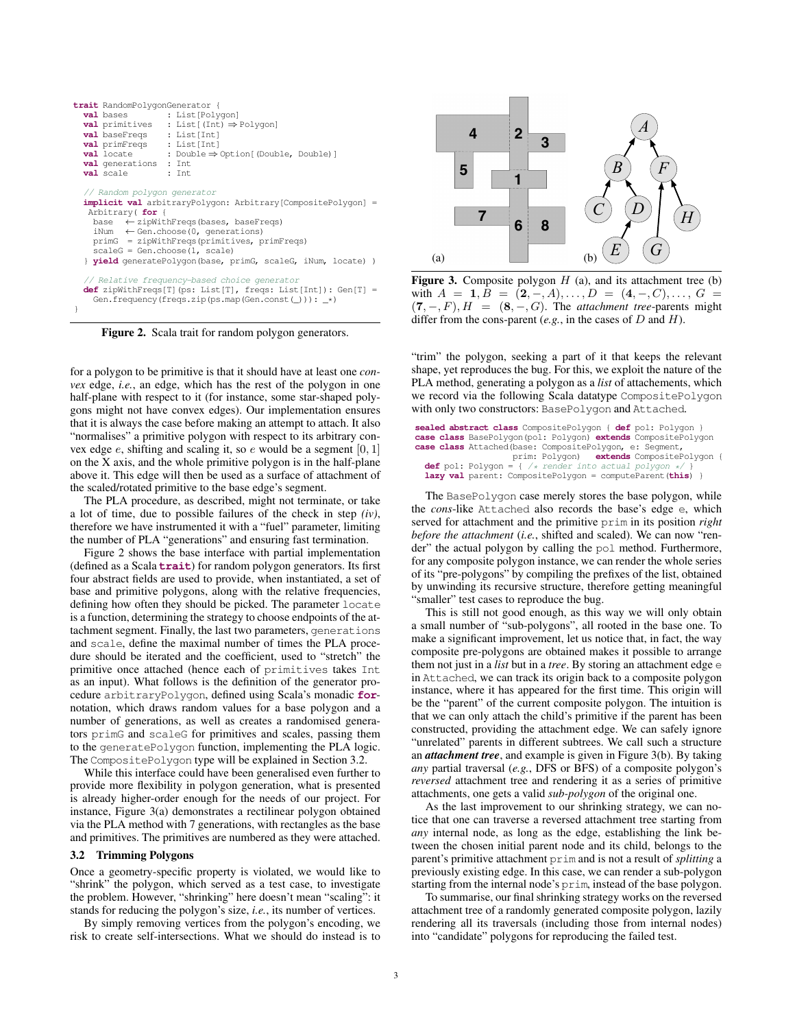|                                                                                                                                                                                                                                                                                                                                                                             | trait RandomPolygonGenerator {<br><b>val</b> baseFreqs : List[Int]<br>val primFreqs : List[Int]<br>val generations : Int<br><b>val</b> scale : Int | <b>val</b> bases : List [Polygon]<br><b>val</b> primitives : List [(Int) $\Rightarrow$ Polygon]<br><b>val</b> locate : Double $\Rightarrow$ Option [(Double, Double)]                 |  |  |
|-----------------------------------------------------------------------------------------------------------------------------------------------------------------------------------------------------------------------------------------------------------------------------------------------------------------------------------------------------------------------------|----------------------------------------------------------------------------------------------------------------------------------------------------|---------------------------------------------------------------------------------------------------------------------------------------------------------------------------------------|--|--|
| // Random polygon generator<br><b>implicit val</b> arbitraryPolygon: Arbitrary[CompositePolygon] =<br>Arbitrary (for {<br>base $\leftarrow$ zipWithFreqs (bases, baseFreqs)<br>iNum $\leftarrow$ Gen.choose (0, generations)<br>primG = zipWithFreqs(primitives, primFreqs)<br>$scaleG = Genchoose(1, scale)$<br>yield generatePolygon(base, primG, scaleG, iNum, locate) ) |                                                                                                                                                    |                                                                                                                                                                                       |  |  |
| ł                                                                                                                                                                                                                                                                                                                                                                           |                                                                                                                                                    | // Relative frequency-based choice generator<br><b>def</b> zipWithFreqs[T](ps: List[T], freqs: List[Int]): Gen[T] =<br>Gen.frequency(freqs.zip(ps.map(Gen.const(_))): $\rightarrow$ ) |  |  |

<span id="page-2-0"></span>Figure 2. Scala trait for random polygon generators.

for a polygon to be primitive is that it should have at least one *convex* edge, *i.e.*, an edge, which has the rest of the polygon in one half-plane with respect to it (for instance, some star-shaped polygons might not have convex edges). Our implementation ensures that it is always the case before making an attempt to attach. It also "normalises" a primitive polygon with respect to its arbitrary convex edge  $e$ , shifting and scaling it, so  $e$  would be a segment  $[0, 1]$ on the X axis, and the whole primitive polygon is in the half-plane above it. This edge will then be used as a surface of attachment of the scaled/rotated primitive to the base edge's segment.

The PLA procedure, as described, might not terminate, or take a lot of time, due to possible failures of the check in step *(iv)*, therefore we have instrumented it with a "fuel" parameter, limiting the number of PLA "generations" and ensuring fast termination.

Figure [2](#page-2-0) shows the base interface with partial implementation (defined as a Scala **trait**) for random polygon generators. Its first four abstract fields are used to provide, when instantiated, a set of base and primitive polygons, along with the relative frequencies, defining how often they should be picked. The parameter locate is a function, determining the strategy to choose endpoints of the attachment segment. Finally, the last two parameters, generations and scale, define the maximal number of times the PLA procedure should be iterated and the coefficient, used to "stretch" the primitive once attached (hence each of primitives takes Int as an input). What follows is the definition of the generator procedure arbitraryPolygon, defined using Scala's monadic **for**notation, which draws random values for a base polygon and a number of generations, as well as creates a randomised generators primG and scaleG for primitives and scales, passing them to the generatePolygon function, implementing the PLA logic. The CompositePolygon type will be explained in Section [3.2.](#page-2-1)

While this interface could have been generalised even further to provide more flexibility in polygon generation, what is presented is already higher-order enough for the needs of our project. For instance, Figure [3\(](#page-2-2)a) demonstrates a rectilinear polygon obtained via the PLA method with 7 generations, with rectangles as the base and primitives. The primitives are numbered as they were attached.

## <span id="page-2-1"></span>3.2 Trimming Polygons

Once a geometry-specific property is violated, we would like to "shrink" the polygon, which served as a test case, to investigate the problem. However, "shrinking" here doesn't mean "scaling": it stands for reducing the polygon's size, *i.e.*, its number of vertices.

By simply removing vertices from the polygon's encoding, we risk to create self-intersections. What we should do instead is to



<span id="page-2-2"></span>**Figure 3.** Composite polygon  $H$  (a), and its attachment tree (b) with  $A = 1, B = (2, -, A), \ldots, D = (4, -, C), \ldots, G =$  $(7, -, F), H = (8, -, G)$ . The *attachment tree*-parents might differ from the cons-parent (*e.g.*, in the cases of D and H).

"trim" the polygon, seeking a part of it that keeps the relevant shape, yet reproduces the bug. For this, we exploit the nature of the PLA method, generating a polygon as a *list* of attachements, which we record via the following Scala datatype CompositePolygon with only two constructors: BasePolygon and Attached.

|  | sealed abstract class CompositePolygon { def pol: Polygon }       |
|--|-------------------------------------------------------------------|
|  | case class BasePolygon (pol: Polygon) extends CompositePolygon    |
|  | case class Attached (base: CompositePolygon, e: Segment,          |
|  | prim: Polygon) extends CompositePolygon {                         |
|  | <b>def</b> pol: Polygon = { /* render into actual polygon */ }    |
|  | <b>lazy val</b> parent: CompositePolygon = computeParent (this) } |

The BasePolygon case merely stores the base polygon, while the *cons*-like Attached also records the base's edge e, which served for attachment and the primitive prim in its position *right before the attachment* (*i.e.*, shifted and scaled). We can now "render" the actual polygon by calling the pol method. Furthermore, for any composite polygon instance, we can render the whole series of its "pre-polygons" by compiling the prefixes of the list, obtained by unwinding its recursive structure, therefore getting meaningful "smaller" test cases to reproduce the bug.

This is still not good enough, as this way we will only obtain a small number of "sub-polygons", all rooted in the base one. To make a significant improvement, let us notice that, in fact, the way composite pre-polygons are obtained makes it possible to arrange them not just in a *list* but in a *tree*. By storing an attachment edge e in Attached, we can track its origin back to a composite polygon instance, where it has appeared for the first time. This origin will be the "parent" of the current composite polygon. The intuition is that we can only attach the child's primitive if the parent has been constructed, providing the attachment edge. We can safely ignore "unrelated" parents in different subtrees. We call such a structure an *attachment tree*, and example is given in Figure [3\(](#page-2-2)b). By taking *any* partial traversal (*e.g.*, DFS or BFS) of a composite polygon's *reversed* attachment tree and rendering it as a series of primitive attachments, one gets a valid *sub-polygon* of the original one.

As the last improvement to our shrinking strategy, we can notice that one can traverse a reversed attachment tree starting from *any* internal node, as long as the edge, establishing the link between the chosen initial parent node and its child, belongs to the parent's primitive attachment prim and is not a result of *splitting* a previously existing edge. In this case, we can render a sub-polygon starting from the internal node's prim, instead of the base polygon.

To summarise, our final shrinking strategy works on the reversed attachment tree of a randomly generated composite polygon, lazily rendering all its traversals (including those from internal nodes) into "candidate" polygons for reproducing the failed test.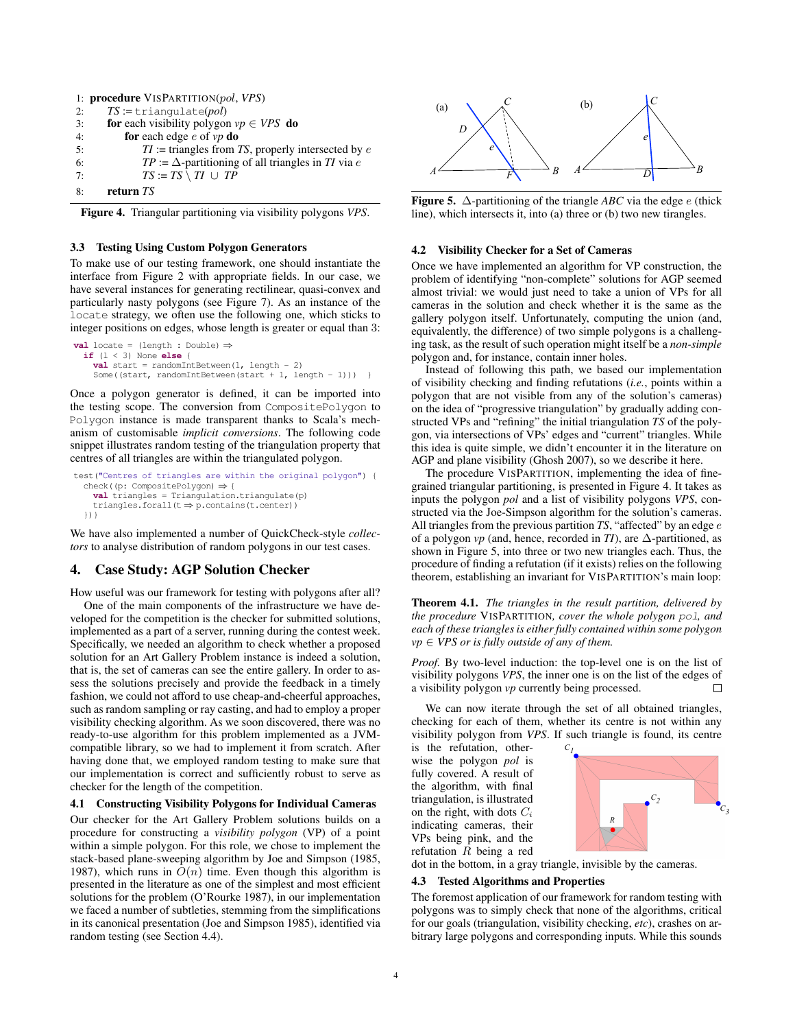|    | 1: <b>procedure</b> VISPARTITION(pol, VPS)                |
|----|-----------------------------------------------------------|
| 2: | $TS := \text{triangular}(pol)$                            |
| 3: | <b>for</b> each visibility polygon $vp \in VPS$ <b>do</b> |
| 4: | for each edge $e$ of $vp$ do                              |
| 5: | $TI$ := triangles from TS, properly intersected by $e$    |
| 6: | $TP := \Delta$ -partitioning of all triangles in TI via e |
| 7: | $TS := TS \setminus TI \cup TP$                           |
| 8: | return TS                                                 |

<span id="page-3-1"></span>Figure 4. Triangular partitioning via visibility polygons *VPS*.

## 3.3 Testing Using Custom Polygon Generators

To make use of our testing framework, one should instantiate the interface from Figure [2](#page-2-0) with appropriate fields. In our case, we have several instances for generating rectilinear, quasi-convex and particularly nasty polygons (see Figure [7\)](#page-5-0). As an instance of the locate strategy, we often use the following one, which sticks to integer positions on edges, whose length is greater or equal than 3:

```
val locate = (length : Double) ⇒
 if (l < 3) None else {
    val start = randomIntBetween(1, length - 2)
    Some((start, randomIntBetween(start + 1, length - 1))) }
```
Once a polygon generator is defined, it can be imported into the testing scope. The conversion from CompositePolygon to Polygon instance is made transparent thanks to Scala's mechanism of customisable *implicit conversions*. The following code snippet illustrates random testing of the triangulation property that centres of all triangles are within the triangulated polygon.

```
test("Centres of triangles are within the original polygon") {
  check((p: CompositePolygon) ⇒ {
    val triangles = Triangulation.triangulate(p)
    triangles.forall(t ⇒ p.contains(t.center))
  })}
```
We have also implemented a number of QuickCheck-style *collectors* to analyse distribution of random polygons in our test cases.

## <span id="page-3-0"></span>4. Case Study: AGP Solution Checker

How useful was our framework for testing with polygons after all? One of the main components of the infrastructure we have developed for the competition is the checker for submitted solutions, implemented as a part of a server, running during the contest week. Specifically, we needed an algorithm to check whether a proposed solution for an Art Gallery Problem instance is indeed a solution, that is, the set of cameras can see the entire gallery. In order to assess the solutions precisely and provide the feedback in a timely fashion, we could not afford to use cheap-and-cheerful approaches, such as random sampling or ray casting, and had to employ a proper visibility checking algorithm. As we soon discovered, there was no ready-to-use algorithm for this problem implemented as a JVMcompatible library, so we had to implement it from scratch. After having done that, we employed random testing to make sure that our implementation is correct and sufficiently robust to serve as checker for the length of the competition.

#### 4.1 Constructing Visibility Polygons for Individual Cameras

<span id="page-3-3"></span>Our checker for the Art Gallery Problem solutions builds on a procedure for constructing a *visibility polygon* (VP) of a point within a simple polygon. For this role, we chose to implement the stack-based plane-sweeping algorithm by [Joe and Simpson](#page-6-15) [\(1985,](#page-6-15) [1987\)](#page-6-16), which runs in  $O(n)$  time. Even though this algorithm is presented in the literature as one of the simplest and most efficient solutions for the problem [\(O'Rourke](#page-6-1) [1987\)](#page-6-1), in our implementation we faced a number of subtleties, stemming from the simplifications in its canonical presentation [\(Joe and Simpson](#page-6-15) [1985\)](#page-6-15), identified via random testing (see Section [4.4\)](#page-4-1).



<span id="page-3-2"></span>Figure 5.  $\Delta$ -partitioning of the triangle *ABC* via the edge *e* (thick line), which intersects it, into (a) three or (b) two new tirangles.

### 4.2 Visibility Checker for a Set of Cameras

Once we have implemented an algorithm for VP construction, the problem of identifying "non-complete" solutions for AGP seemed almost trivial: we would just need to take a union of VPs for all cameras in the solution and check whether it is the same as the gallery polygon itself. Unfortunately, computing the union (and, equivalently, the difference) of two simple polygons is a challenging task, as the result of such operation might itself be a *non-simple* polygon and, for instance, contain inner holes.

Instead of following this path, we based our implementation of visibility checking and finding refutations (*i.e.*, points within a polygon that are not visible from any of the solution's cameras) on the idea of "progressive triangulation" by gradually adding constructed VPs and "refining" the initial triangulation *TS* of the polygon, via intersections of VPs' edges and "current" triangles. While this idea is quite simple, we didn't encounter it in the literature on AGP and plane visibility [\(Ghosh](#page-6-17) [2007\)](#page-6-17), so we describe it here.

The procedure VISPARTITION, implementing the idea of finegrained triangular partitioning, is presented in Figure [4.](#page-3-1) It takes as inputs the polygon *pol* and a list of visibility polygons *VPS*, constructed via the Joe-Simpson algorithm for the solution's cameras. All triangles from the previous partition *TS*, "affected" by an edge e of a polygon *vp* (and, hence, recorded in *TI*), are  $\Delta$ -partitioned, as shown in Figure [5,](#page-3-2) into three or two new triangles each. Thus, the procedure of finding a refutation (if it exists) relies on the following theorem, establishing an invariant for VISPARTITION's main loop:

Theorem 4.1. *The triangles in the result partition, delivered by the procedure* VISPARTITION*, cover the whole polygon* pol*, and each of these triangles is either fully contained within some polygon*  $vp \in VPS$  *or is fully outside of any of them.* 

*Proof.* By two-level induction: the top-level one is on the list of visibility polygons *VPS*, the inner one is on the list of the edges of a visibility polygon *vp* currently being processed. □

We can now iterate through the set of all obtained triangles, checking for each of them, whether its centre is not within any visibility polygon from *VPS*. If such triangle is found, its centre

is the refutation, otherwise the polygon *pol* is fully covered. A result of the algorithm, with final triangulation, is illustrated on the right, with dots  $C_i$ indicating cameras, their VPs being pink, and the refutation R being a red



dot in the bottom, in a gray triangle, invisible by the cameras.

#### <span id="page-3-4"></span>4.3 Tested Algorithms and Properties

The foremost application of our framework for random testing with polygons was to simply check that none of the algorithms, critical for our goals (triangulation, visibility checking, *etc*), crashes on arbitrary large polygons and corresponding inputs. While this sounds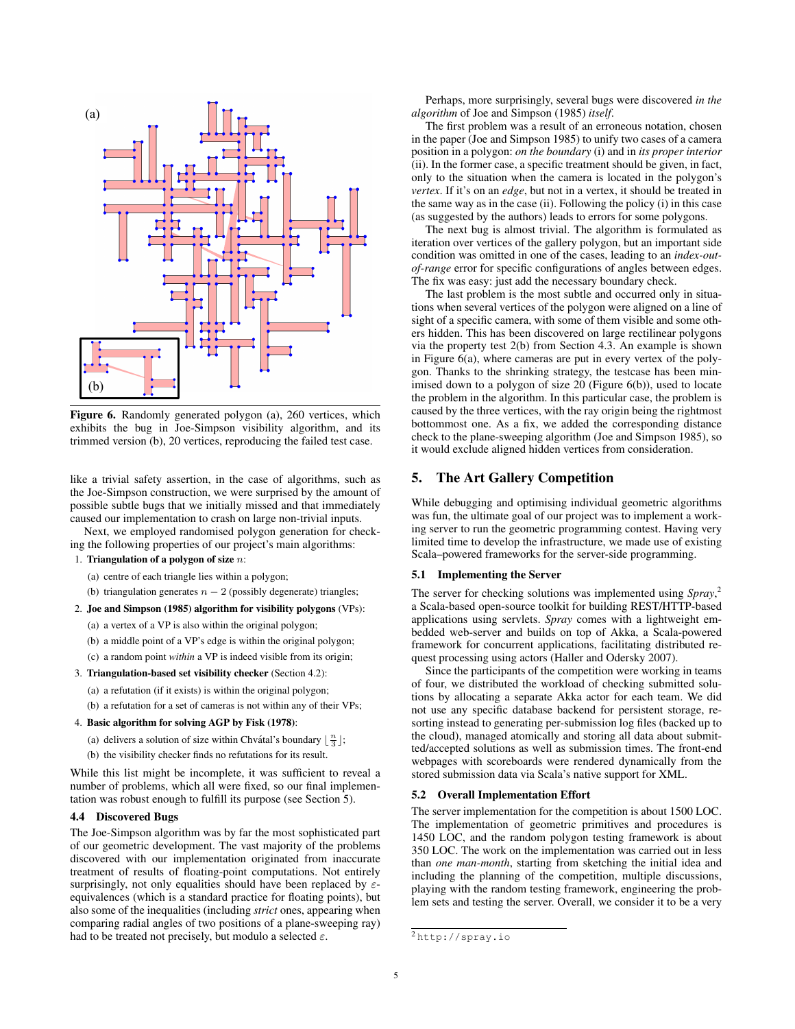

<span id="page-4-2"></span>Figure 6. Randomly generated polygon (a), 260 vertices, which exhibits the bug in Joe-Simpson visibility algorithm, and its trimmed version (b), 20 vertices, reproducing the failed test case.

like a trivial safety assertion, in the case of algorithms, such as the Joe-Simpson construction, we were surprised by the amount of possible subtle bugs that we initially missed and that immediately caused our implementation to crash on large non-trivial inputs.

Next, we employed randomised polygon generation for checking the following properties of our project's main algorithms:

# 1. Triangulation of a polygon of size  $n$ :

- (a) centre of each triangle lies within a polygon;
- (b) triangulation generates  $n 2$  (possibly degenerate) triangles;
- 2. [Joe and Simpson](#page-6-15) [\(1985\)](#page-6-15) algorithm for visibility polygons (VPs):
	- (a) a vertex of a VP is also within the original polygon;
	- (b) a middle point of a VP's edge is within the original polygon;
	- (c) a random point *within* a VP is indeed visible from its origin;

#### 3. Triangulation-based set visibility checker (Section [4.2\)](#page-3-3):

(a) a refutation (if it exists) is within the original polygon;

(b) a refutation for a set of cameras is not within any of their VPs;

## 4. Basic algorithm for solving AGP by [Fisk](#page-6-18) [\(1978\)](#page-6-18):

- (a) delivers a solution of size within Chvátal's boundary  $\lfloor \frac{n}{3} \rfloor$ ;
- (b) the visibility checker finds no refutations for its result.

While this list might be incomplete, it was sufficient to reveal a number of problems, which all were fixed, so our final implementation was robust enough to fulfill its purpose (see Section [5\)](#page-4-0).

#### <span id="page-4-1"></span>4.4 Discovered Bugs

The Joe-Simpson algorithm was by far the most sophisticated part of our geometric development. The vast majority of the problems discovered with our implementation originated from inaccurate treatment of results of floating-point computations. Not entirely surprisingly, not only equalities should have been replaced by  $\varepsilon$ equivalences (which is a standard practice for floating points), but also some of the inequalities (including *strict* ones, appearing when comparing radial angles of two positions of a plane-sweeping ray) had to be treated not precisely, but modulo a selected  $\varepsilon$ .

Perhaps, more surprisingly, several bugs were discovered *in the algorithm* of [Joe and Simpson](#page-6-15) [\(1985\)](#page-6-15) *itself*.

The first problem was a result of an erroneous notation, chosen in the paper [\(Joe and Simpson](#page-6-15) [1985\)](#page-6-15) to unify two cases of a camera position in a polygon: *on the boundary* (i) and in *its proper interior* (ii). In the former case, a specific treatment should be given, in fact, only to the situation when the camera is located in the polygon's *vertex*. If it's on an *edge*, but not in a vertex, it should be treated in the same way as in the case (ii). Following the policy (i) in this case (as suggested by the authors) leads to errors for some polygons.

The next bug is almost trivial. The algorithm is formulated as iteration over vertices of the gallery polygon, but an important side condition was omitted in one of the cases, leading to an *index-outof-range* error for specific configurations of angles between edges. The fix was easy: just add the necessary boundary check.

The last problem is the most subtle and occurred only in situations when several vertices of the polygon were aligned on a line of sight of a specific camera, with some of them visible and some others hidden. This has been discovered on large rectilinear polygons via the property test 2(b) from Section [4.3.](#page-3-4) An example is shown in Figure [6\(](#page-4-2)a), where cameras are put in every vertex of the polygon. Thanks to the shrinking strategy, the testcase has been minimised down to a polygon of size 20 (Figure [6\(](#page-4-2)b)), used to locate the problem in the algorithm. In this particular case, the problem is caused by the three vertices, with the ray origin being the rightmost bottommost one. As a fix, we added the corresponding distance check to the plane-sweeping algorithm [\(Joe and Simpson](#page-6-15) [1985\)](#page-6-15), so it would exclude aligned hidden vertices from consideration.

# <span id="page-4-0"></span>5. The Art Gallery Competition

While debugging and optimising individual geometric algorithms was fun, the ultimate goal of our project was to implement a working server to run the geometric programming contest. Having very limited time to develop the infrastructure, we made use of existing Scala–powered frameworks for the server-side programming.

#### 5.1 Implementing the Server

The server for checking solutions was implemented using *Spray*, [2](#page-4-3) a Scala-based open-source toolkit for building REST/HTTP-based applications using servlets. *Spray* comes with a lightweight embedded web-server and builds on top of Akka, a Scala-powered framework for concurrent applications, facilitating distributed request processing using actors [\(Haller and Odersky](#page-6-19) [2007\)](#page-6-19).

Since the participants of the competition were working in teams of four, we distributed the workload of checking submitted solutions by allocating a separate Akka actor for each team. We did not use any specific database backend for persistent storage, resorting instead to generating per-submission log files (backed up to the cloud), managed atomically and storing all data about submitted/accepted solutions as well as submission times. The front-end webpages with scoreboards were rendered dynamically from the stored submission data via Scala's native support for XML.

#### 5.2 Overall Implementation Effort

The server implementation for the competition is about 1500 LOC. The implementation of geometric primitives and procedures is 1450 LOC, and the random polygon testing framework is about 350 LOC. The work on the implementation was carried out in less than *one man-month*, starting from sketching the initial idea and including the planning of the competition, multiple discussions, playing with the random testing framework, engineering the problem sets and testing the server. Overall, we consider it to be a very

<span id="page-4-3"></span><sup>2</sup> <http://spray.io>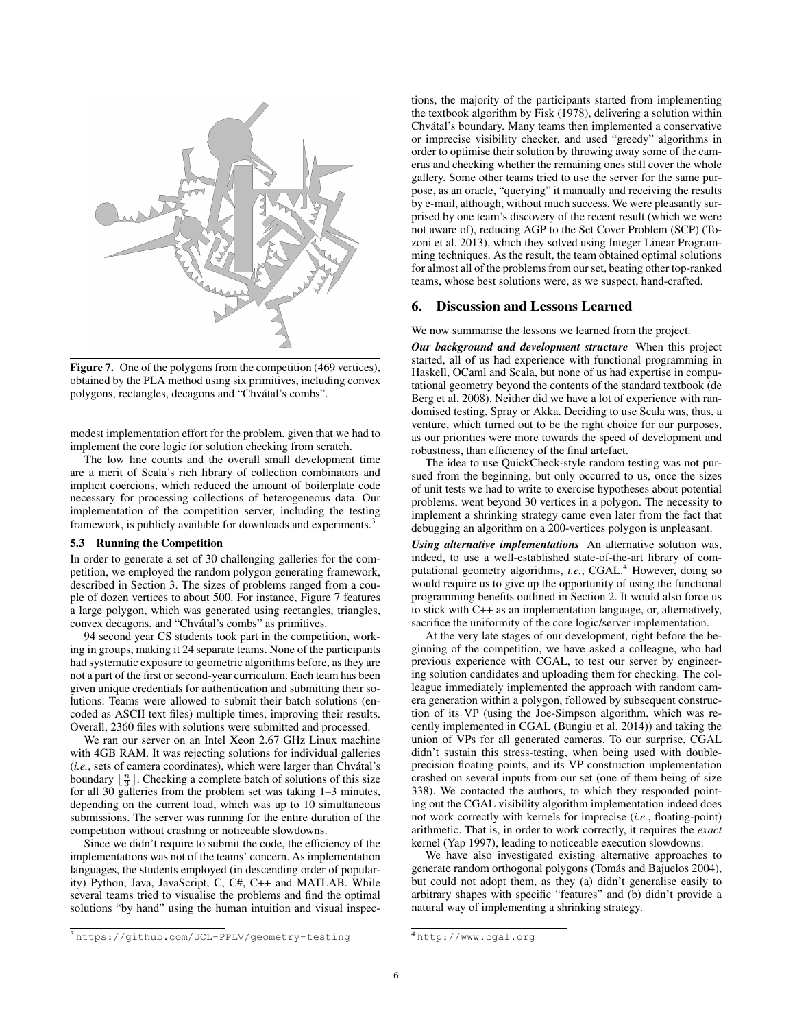

<span id="page-5-0"></span>Figure 7. One of the polygons from the competition (469 vertices), obtained by the PLA method using six primitives, including convex polygons, rectangles, decagons and "Chvátal's combs".

modest implementation effort for the problem, given that we had to implement the core logic for solution checking from scratch.

The low line counts and the overall small development time are a merit of Scala's rich library of collection combinators and implicit coercions, which reduced the amount of boilerplate code necessary for processing collections of heterogeneous data. Our implementation of the competition server, including the testing framework, is publicly available for downloads and experiments.<sup>[3](#page-5-1)</sup>

#### 5.3 Running the Competition

In order to generate a set of 30 challenging galleries for the competition, we employed the random polygon generating framework, described in Section [3.](#page-1-0) The sizes of problems ranged from a couple of dozen vertices to about 500. For instance, Figure [7](#page-5-0) features a large polygon, which was generated using rectangles, triangles, convex decagons, and "Chvátal's combs" as primitives.

94 second year CS students took part in the competition, working in groups, making it 24 separate teams. None of the participants had systematic exposure to geometric algorithms before, as they are not a part of the first or second-year curriculum. Each team has been given unique credentials for authentication and submitting their solutions. Teams were allowed to submit their batch solutions (encoded as ASCII text files) multiple times, improving their results. Overall, 2360 files with solutions were submitted and processed.

We ran our server on an Intel Xeon 2.67 GHz Linux machine with 4GB RAM. It was rejecting solutions for individual galleries (*i.e.*, sets of camera coordinates), which were larger than Chvátal's boundary  $\lfloor \frac{n}{3} \rfloor$ . Checking a complete batch of solutions of this size for all 30 galleries from the problem set was taking 1–3 minutes, depending on the current load, which was up to 10 simultaneous submissions. The server was running for the entire duration of the competition without crashing or noticeable slowdowns.

Since we didn't require to submit the code, the efficiency of the implementations was not of the teams' concern. As implementation languages, the students employed (in descending order of popularity) Python, Java, JavaScript, C, C#, C++ and MATLAB. While several teams tried to visualise the problems and find the optimal solutions "by hand" using the human intuition and visual inspec-

<span id="page-5-1"></span><sup>3</sup> <https://github.com/UCL-PPLV/geometry-testing>

tions, the majority of the participants started from implementing the textbook algorithm by [Fisk](#page-6-18) [\(1978\)](#page-6-18), delivering a solution within Chvátal's boundary. Many teams then implemented a conservative or imprecise visibility checker, and used "greedy" algorithms in order to optimise their solution by throwing away some of the cameras and checking whether the remaining ones still cover the whole gallery. Some other teams tried to use the server for the same purpose, as an oracle, "querying" it manually and receiving the results by e-mail, although, without much success. We were pleasantly surprised by one team's discovery of the recent result (which we were not aware of), reducing AGP to the Set Cover Problem (SCP) [\(To](#page-6-20)[zoni et al.](#page-6-20) [2013\)](#page-6-20), which they solved using Integer Linear Programming techniques. As the result, the team obtained optimal solutions for almost all of the problems from our set, beating other top-ranked teams, whose best solutions were, as we suspect, hand-crafted.

## 6. Discussion and Lessons Learned

We now summarise the lessons we learned from the project.

*Our background and development structure* When this project started, all of us had experience with functional programming in Haskell, OCaml and Scala, but none of us had expertise in computational geometry beyond the contents of the standard textbook [\(de](#page-6-0) [Berg et al.](#page-6-0) [2008\)](#page-6-0). Neither did we have a lot of experience with randomised testing, Spray or Akka. Deciding to use Scala was, thus, a venture, which turned out to be the right choice for our purposes, as our priorities were more towards the speed of development and robustness, than efficiency of the final artefact.

The idea to use QuickCheck-style random testing was not pursued from the beginning, but only occurred to us, once the sizes of unit tests we had to write to exercise hypotheses about potential problems, went beyond 30 vertices in a polygon. The necessity to implement a shrinking strategy came even later from the fact that debugging an algorithm on a 200-vertices polygon is unpleasant.

*Using alternative implementations* An alternative solution was, indeed, to use a well-established state-of-the-art library of computational geometry algorithms, *i.e.*, CGAL.<sup>[4](#page-5-2)</sup> However, doing so would require us to give up the opportunity of using the functional programming benefits outlined in Section [2.](#page-0-0) It would also force us to stick with C++ as an implementation language, or, alternatively, sacrifice the uniformity of the core logic/server implementation.

At the very late stages of our development, right before the beginning of the competition, we have asked a colleague, who had previous experience with CGAL, to test our server by engineering solution candidates and uploading them for checking. The colleague immediately implemented the approach with random camera generation within a polygon, followed by subsequent construction of its VP (using the Joe-Simpson algorithm, which was recently implemented in CGAL [\(Bungiu et al.](#page-6-21) [2014\)](#page-6-21)) and taking the union of VPs for all generated cameras. To our surprise, CGAL didn't sustain this stress-testing, when being used with doubleprecision floating points, and its VP construction implementation crashed on several inputs from our set (one of them being of size 338). We contacted the authors, to which they responded pointing out the CGAL visibility algorithm implementation indeed does not work correctly with kernels for imprecise (*i.e.*, floating-point) arithmetic. That is, in order to work correctly, it requires the *exact* kernel [\(Yap](#page-6-22) [1997\)](#page-6-22), leading to noticeable execution slowdowns.

We have also investigated existing alternative approaches to generate random orthogonal polygons (Tomás and Bajuelos [2004\)](#page-6-23), but could not adopt them, as they (a) didn't generalise easily to arbitrary shapes with specific "features" and (b) didn't provide a natural way of implementing a shrinking strategy.

<span id="page-5-2"></span><sup>4</sup> <http://www.cgal.org>